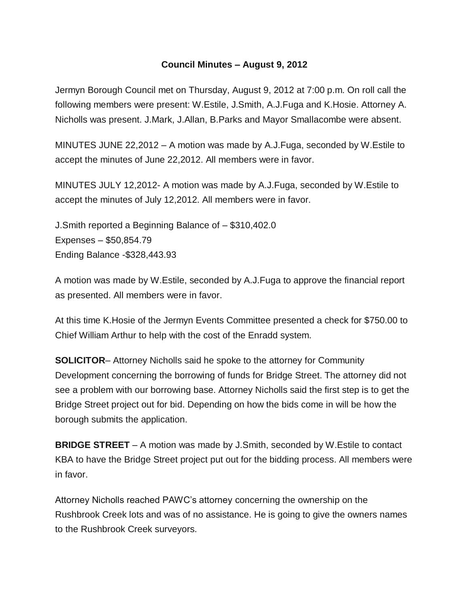## **Council Minutes – August 9, 2012**

Jermyn Borough Council met on Thursday, August 9, 2012 at 7:00 p.m. On roll call the following members were present: W.Estile, J.Smith, A.J.Fuga and K.Hosie. Attorney A. Nicholls was present. J.Mark, J.Allan, B.Parks and Mayor Smallacombe were absent.

MINUTES JUNE 22,2012 – A motion was made by A.J.Fuga, seconded by W.Estile to accept the minutes of June 22,2012. All members were in favor.

MINUTES JULY 12,2012- A motion was made by A.J.Fuga, seconded by W.Estile to accept the minutes of July 12,2012. All members were in favor.

J.Smith reported a Beginning Balance of – \$310,402.0 Expenses – \$50,854.79 Ending Balance -\$328,443.93

A motion was made by W.Estile, seconded by A.J.Fuga to approve the financial report as presented. All members were in favor.

At this time K.Hosie of the Jermyn Events Committee presented a check for \$750.00 to Chief William Arthur to help with the cost of the Enradd system.

**SOLICITOR**– Attorney Nicholls said he spoke to the attorney for Community Development concerning the borrowing of funds for Bridge Street. The attorney did not see a problem with our borrowing base. Attorney Nicholls said the first step is to get the Bridge Street project out for bid. Depending on how the bids come in will be how the borough submits the application.

**BRIDGE STREET** – A motion was made by J.Smith, seconded by W.Estile to contact KBA to have the Bridge Street project put out for the bidding process. All members were in favor.

Attorney Nicholls reached PAWC's attorney concerning the ownership on the Rushbrook Creek lots and was of no assistance. He is going to give the owners names to the Rushbrook Creek surveyors.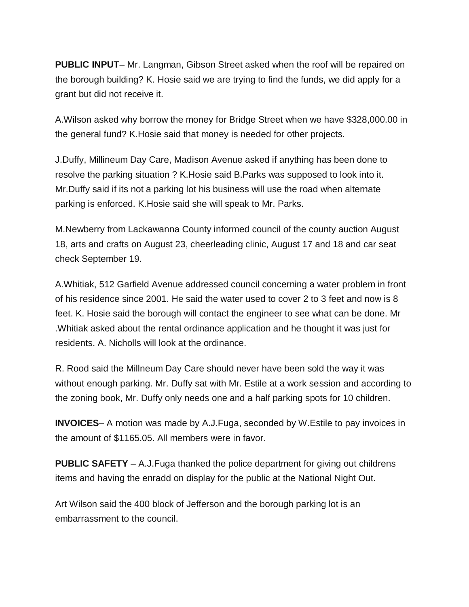**PUBLIC INPUT**– Mr. Langman, Gibson Street asked when the roof will be repaired on the borough building? K. Hosie said we are trying to find the funds, we did apply for a grant but did not receive it.

A.Wilson asked why borrow the money for Bridge Street when we have \$328,000.00 in the general fund? K.Hosie said that money is needed for other projects.

J.Duffy, Millineum Day Care, Madison Avenue asked if anything has been done to resolve the parking situation ? K.Hosie said B.Parks was supposed to look into it. Mr.Duffy said if its not a parking lot his business will use the road when alternate parking is enforced. K.Hosie said she will speak to Mr. Parks.

M.Newberry from Lackawanna County informed council of the county auction August 18, arts and crafts on August 23, cheerleading clinic, August 17 and 18 and car seat check September 19.

A.Whitiak, 512 Garfield Avenue addressed council concerning a water problem in front of his residence since 2001. He said the water used to cover 2 to 3 feet and now is 8 feet. K. Hosie said the borough will contact the engineer to see what can be done. Mr .Whitiak asked about the rental ordinance application and he thought it was just for residents. A. Nicholls will look at the ordinance.

R. Rood said the Millneum Day Care should never have been sold the way it was without enough parking. Mr. Duffy sat with Mr. Estile at a work session and according to the zoning book, Mr. Duffy only needs one and a half parking spots for 10 children.

**INVOICES**– A motion was made by A.J.Fuga, seconded by W.Estile to pay invoices in the amount of \$1165.05. All members were in favor.

**PUBLIC SAFETY** – A.J.Fuga thanked the police department for giving out childrens items and having the enradd on display for the public at the National Night Out.

Art Wilson said the 400 block of Jefferson and the borough parking lot is an embarrassment to the council.